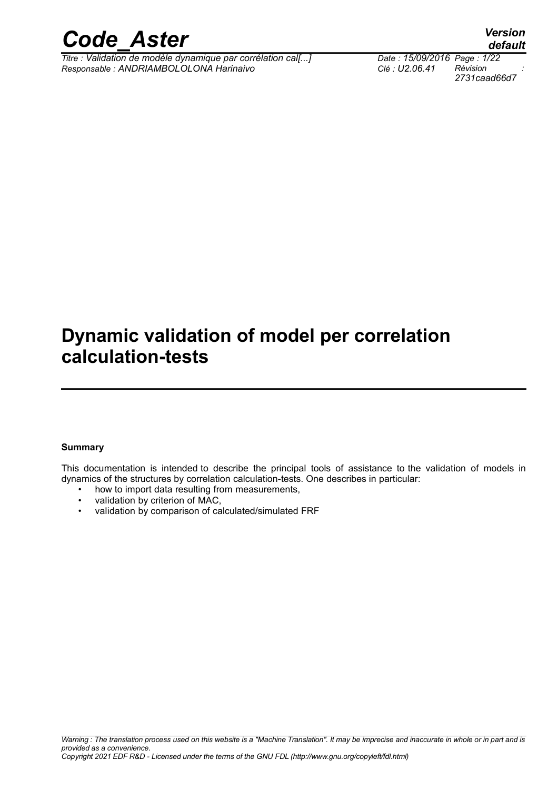

*Titre : Validation de modèle dynamique par corrélation cal[...] Date : 15/09/2016 Page : 1/22 Responsable : ANDRIAMBOLOLONA Harinaivo Clé : U2.06.41 Révision :*

*2731caad66d7*

# **Dynamic validation of model per correlation**

### **calculation-tests**

#### **Summary**

This documentation is intended to describe the principal tools of assistance to the validation of models in dynamics of the structures by correlation calculation-tests. One describes in particular:

- how to import data resulting from measurements,
- validation by criterion of MAC,
- validation by comparison of calculated/simulated FRF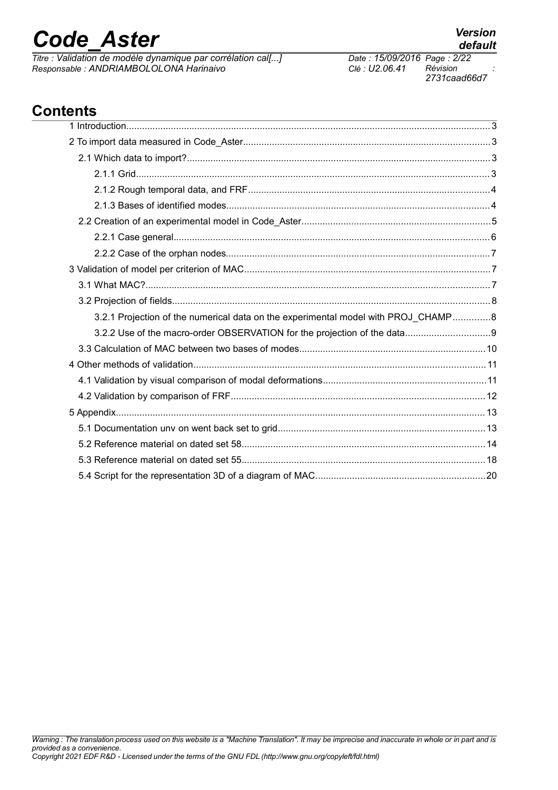*Titre : Validation de modèle dynamique par corrélation cal[...] Date : 15/09/2016 Page : 2/22 Responsable : ANDRIAMBOLOLONA Harinaivo Clé : U2.06.41 Révision :*

1 Introduction...........................................................................................................................................3 2 To import data measured in Code\_Aster..............................................................................................3 2.1 Which data to import?....................................................................................................................3 2.1.1 Grid.......................................................................................................................................3 2.1.2 Rough temporal data, and FRF............................................................................................4 2.1.3 Bases of identified modes....................................................................................................4 2.2 Creation of an experimental model in Code\_Aster........................................................................5 2.2.1 Case general........................................................................................................................6 2.2.2 Case of the orphan nodes.....................................................................................................7 3 Validation of model per criterion of MAC..............................................................................................7 3.1 What MAC?...................................................................................................................................7 3.2 Projection of fields.........................................................................................................................8 3.2.1 Projection of the numerical data on the experimental model with PROJ\_CHAMP..............8 3.2.2 Use of the macro-order OBSERVATION for the projection of the data................................9 3.3 Calculation of MAC between two bases of modes.......................................................................10 4 Other methods of validation...............................................................................................................11 4.1 Validation by visual comparison of modal deformations..............................................................11 4.2 Validation by comparison of FRF.................................................................................................12 5 Appendix.............................................................................................................................................13 5.1 Documentation unv on went back set to grid...............................................................................13 5.2 Reference material on dated set 58.............................................................................................14 5.3 Reference material on dated set 55.............................................................................................18 5.4 Script for the representation 3D of a diagram of MAC.................................................................20

### **Contents**

*2731caad66d7*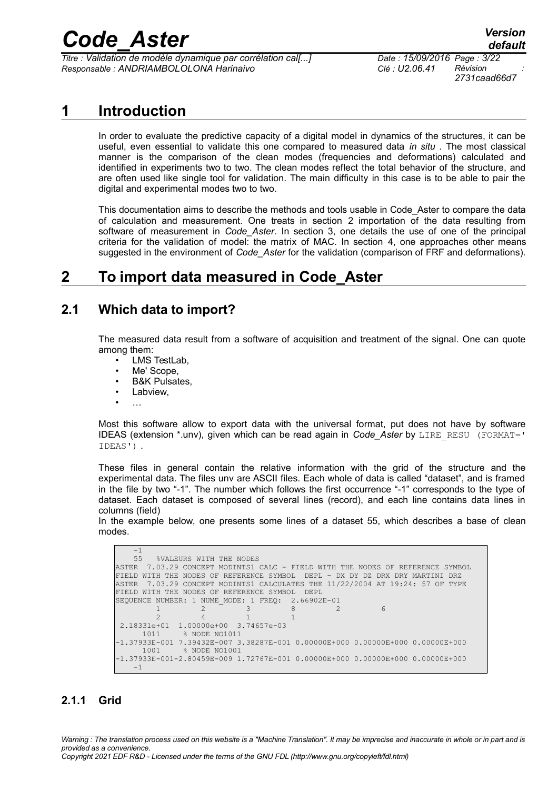*Titre : Validation de modèle dynamique par corrélation cal[...] Date : 15/09/2016 Page : 3/22 Responsable : ANDRIAMBOLOLONA Harinaivo Clé : U2.06.41 Révision :*

*2731caad66d7*

### **1 Introduction**

In order to evaluate the predictive capacity of a digital model in dynamics of the structures, it can be useful, even essential to validate this one compared to measured data *in situ* . The most classical manner is the comparison of the clean modes (frequencies and deformations) calculated and identified in experiments two to two. The clean modes reflect the total behavior of the structure, and are often used like single tool for validation. The main difficulty in this case is to be able to pair the digital and experimental modes two to two.

This documentation aims to describe the methods and tools usable in Code\_Aster to compare the data of calculation and measurement. One treats in section [2](#page-2-0) importation of the data resulting from software of measurement in *Code\_Aster*. In section [3,](#page-6-0) one details the use of one of the principal criteria for the validation of model: the matrix of MAC. In section [4,](#page-10-0) one approaches other means suggested in the environment of *Code\_Aster* for the validation (comparison of FRF and deformations).

### <span id="page-2-0"></span>**2 To import data measured in Code\_Aster**

#### **2.1 Which data to import?**

The measured data result from a software of acquisition and treatment of the signal. One can quote among them:

- LMS TestLab,
- Me' Scope,
- B&K Pulsates,
- Labview,
- …

Most this software allow to export data with the universal format, put does not have by software IDEAS (extension \*.unv), given which can be read again in *Code Aster* by LIRE RESU (FORMAT=' IDEAS') .

These files in general contain the relative information with the grid of the structure and the experimental data. The files unv are ASCII files. Each whole of data is called "dataset", and is framed in the file by two "-1". The number which follows the first occurrence "-1" corresponds to the type of dataset. Each dataset is composed of several lines (record), and each line contains data lines in columns (field)

In the example below, one presents some lines of a dataset 55, which describes a base of clean modes.

```
-1<br>55
         55 %VALEURS WITH THE NODES 
ASTER 7.03.29 CONCEPT MODINTS1 CALC - FIELD WITH THE NODES OF REFERENCE SYMBOL 
FIELD WITH THE NODES OF REFERENCE SYMBOL DEPL - DX DY DZ DRX DRY MARTINI DRZ 
ASTER 7.03.29 CONCEPT MODINTS1 CALCULATES THE 11/22/2004 AT 19:24: 57 OF TYPE 
FIELD WITH THE NODES OF REFERENCE SYMBOL DEPL 
SEQUENCE NUMBER: 1 NUME_MODE: 1 FREQ: 2.66902E-01<br>
2<br>
2<br>
2
1 2 3 8 2 6 2 4 1 1 
2.18331e+01  1.00000e+00  3.74657e-03<br>1011  % NODE  NO1011
              % NODE NO1011
-1.37933E-001 7.39432E-007 3.38287E-001 0.00000E+000 0.00000E+000 0.00000E+000 
              % NODE NO1001
-1.37933E-001-2.80459E-009 1.72767E-001 0.00000E+000 0.00000E+000 0.00000E+000 
   -1
```
#### **2.1.1 Grid**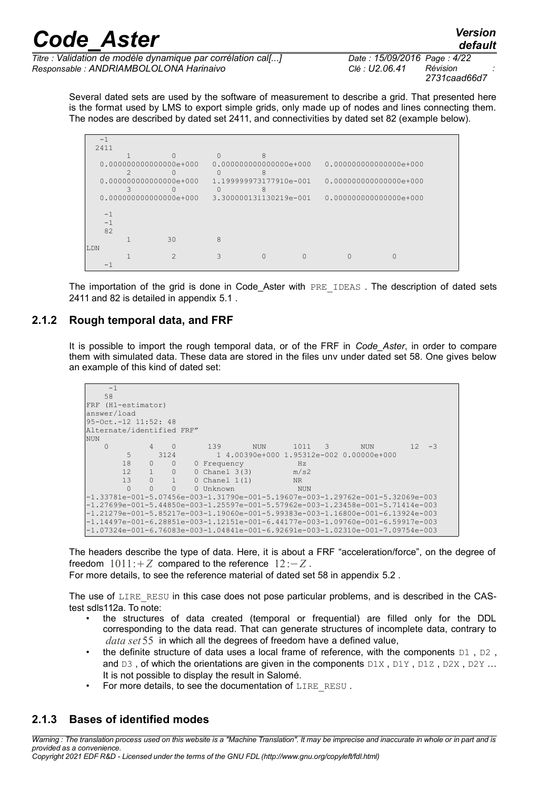*Titre : Validation de modèle dynamique par corrélation cal[...] Date : 15/09/2016 Page : 4/22 Responsable : ANDRIAMBOLOLONA Harinaivo Clé : U2.06.41 Révision :*

*2731caad66d7*

Several dated sets are used by the software of measurement to describe a grid. That presented here is the format used by LMS to export simple grids, only made up of nodes and lines connecting them. The nodes are described by dated set 2411, and connectivities by dated set 82 (example below).

|     | $-1$ |                          |    |                          |          |                          |  |  |
|-----|------|--------------------------|----|--------------------------|----------|--------------------------|--|--|
|     | 2411 |                          |    |                          |          |                          |  |  |
|     |      |                          |    | $\cap$                   |          |                          |  |  |
|     |      | $0.000000000000000e+000$ |    | $0.000000000000000e+000$ |          | $0.000000000000000e+000$ |  |  |
|     |      |                          |    |                          |          |                          |  |  |
|     |      | $0.000000000000000e+000$ |    | 1.199999973177910e-001   |          | $0.000000000000000e+000$ |  |  |
|     |      |                          |    | ∩                        | 8        |                          |  |  |
|     |      | $0.000000000000000e+000$ |    | 3.300000131130219e-001   |          | $0.000000000000000e+000$ |  |  |
|     |      |                          |    |                          |          |                          |  |  |
|     | $-1$ |                          |    |                          |          |                          |  |  |
|     | $-1$ |                          |    |                          |          |                          |  |  |
|     | 82   |                          |    |                          |          |                          |  |  |
|     |      |                          | 30 | 8                        |          |                          |  |  |
| LDN |      |                          |    |                          |          |                          |  |  |
|     |      |                          | 2  |                          | $\Omega$ |                          |  |  |
|     |      |                          |    |                          |          |                          |  |  |

The importation of the grid is done in Code Aster with PRE IDEAS. The description of dated sets 2411 and 82 is detailed in appendix [5.1](#page-12-0) .

#### **2.1.2 Rough temporal data, and FRF**

It is possible to import the rough temporal data, or of the FRF in *Code\_Aster*, in order to compare them with simulated data. These data are stored in the files unv under dated set 58. One gives below an example of this kind of dated set:

```
-1 58 
FRF (H1-estimator) 
answer/load 
95-Oct.-12 11:52: 48 
Alternate/identified FRF" 
\begin{bmatrix} NUN \\ 0 \end{bmatrix} 0 4 0 139 NUN 1011 3 NUN 12 -3
        5 3124 1 4.00390e+000 1.95312e-002 0.00000e+000<br>18 0 0 0 Frequency Hz
        18 0 0 0 Frequency Hz<br>12 1 0 0 Chanel 3(3) m/s2
        12 \t 1 \t 0 \t 0 Chanel 3(3)<br>13 0 1 0 Chanel 1(1)
             0 1 0 Chanel 1(1) NR<br>0 0 0 Unknown NI
         0 0 0 0 Unknown NUN
-1.33781e-001-5.07456e-003-1.31790e-001-5.19607e-003-1.29762e-001-5.32069e-003
-1.27699e-001-5.44850e-003-1.25597e-001-5.57962e-003-1.23458e-001-5.71414e-003
-1.21279e-001-5.85217e-003-1.19060e-001-5.99383e-003-1.16800e-001-6.13924e-003
-1.14497e-001-6.28851e-003-1.12151e-001-6.44177e-003-1.09760e-001-6.59917e-003
-1.07324e-001-6.76083e-003-1.04841e-001-6.92691e-003-1.02310e-001-7.09754e-003
```
The headers describe the type of data. Here, it is about a FRF "acceleration/force", on the degree of freedom  $1011:+Z$  compared to the reference  $12:-Z$ .

For more details, to see the reference material of dated set 58 in appendix [5.2](#page-13-0) .

The use of LIRE RESU in this case does not pose particular problems, and is described in the CAStest sdls112a. To note:

- the structures of data created (temporal or frequential) are filled only for the DDL corresponding to the data read. That can generate structures of incomplete data, contrary to *data set* 55 in which all the degrees of freedom have a defined value,
- the definite structure of data uses a local frame of reference, with the components  $D_1$ ,  $D_2$ , and  $D3$ , of which the orientations are given in the components  $D1X$ ,  $D1Y$ ,  $D1Z$ ,  $D2X$ ,  $D2Y$ ... It is not possible to display the result in Salomé.
- For more details, to see the documentation of LIRE\_RESU .

#### **2.1.3 Bases of identified modes**

*Warning : The translation process used on this website is a "Machine Translation". It may be imprecise and inaccurate in whole or in part and is provided as a convenience.*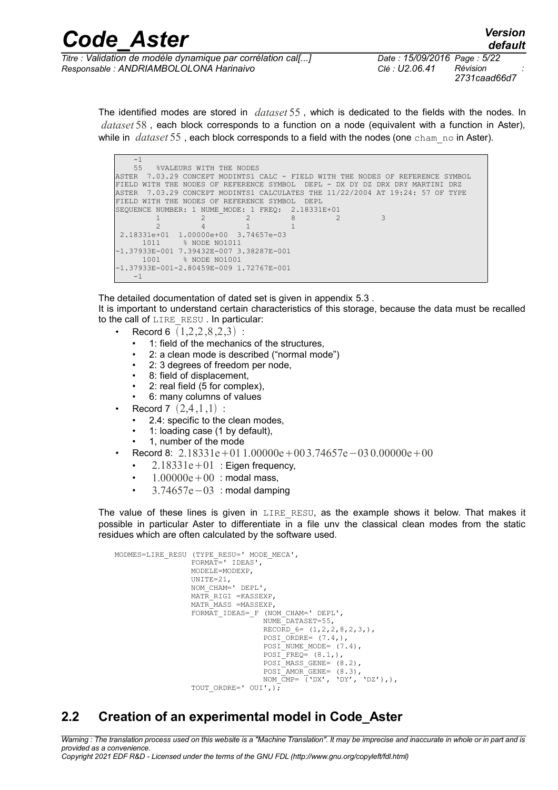| <b>Code Aster</b>                                                                                                                                                                                                                                                                                                                                                                    | <b>Version</b><br>default                                          |  |  |  |  |
|--------------------------------------------------------------------------------------------------------------------------------------------------------------------------------------------------------------------------------------------------------------------------------------------------------------------------------------------------------------------------------------|--------------------------------------------------------------------|--|--|--|--|
| Titre : Validation de modèle dynamique par corrélation cal[]                                                                                                                                                                                                                                                                                                                         | Date: 15/09/2016 Page: 5/22                                        |  |  |  |  |
| $\overline{a}$ $\overline{a}$ $\overline{a}$ $\overline{a}$ $\overline{a}$ $\overline{a}$ $\overline{a}$ $\overline{a}$ $\overline{a}$ $\overline{a}$ $\overline{a}$ $\overline{a}$ $\overline{a}$ $\overline{a}$ $\overline{a}$ $\overline{a}$ $\overline{a}$ $\overline{a}$ $\overline{a}$ $\overline{a}$ $\overline{a}$ $\overline{a}$ $\overline{a}$ $\overline{a}$ $\overline{$ | DAL de le ce<br>$\sim$ $\prime$ $\sim$ $\sim$ $\sim$ $\sim$ $\sim$ |  |  |  |  |

*Responsable : ANDRIAMBOLOLONA Harinaivo Clé : U2.06.41 Révision :*

*2731caad66d7*

The identified modes are stored in *dataset* 55 , which is dedicated to the fields with the nodes. In *dataset* 58 , each block corresponds to a function on a node (equivalent with a function in Aster), while in *dataset* 55, each block corresponds to a field with the nodes (one cham no in Aster).

| $-1$                                                                             |  |
|----------------------------------------------------------------------------------|--|
| $55 -$<br>%VALEURS WITH THE NODES                                                |  |
| ASTER  7.03.29 CONCEPT MODINTS1 CALC – FIELD WITH THE NODES OF REFERENCE SYMBOL  |  |
| WITH THE NODES OF REFERENCE SYMBOL DEPL - DX DY DZ DRX DRY MARTINI DRZ<br>FTELD. |  |
| ASTER  7.03.29 CONCEPT MODINTS1 CALCULATES THE 11/22/2004 AT 19:24: 57 OF TYPE   |  |
| FIELD WITH THE NODES OF REFERENCE SYMBOL<br>DEPL                                 |  |
| SEOUENCE NUMBER: 1 NUME MODE: 1 FREO: 2.18331E+01                                |  |
| 8                                                                                |  |
|                                                                                  |  |
| 2.18331e+01  1.00000e+00  3.74657e-03                                            |  |
| 1011<br>8 NODE NO1011                                                            |  |
| -1.37933E-001 7.39432E-007 3.38287E-001                                          |  |
| 1001<br>% NODE NO1001                                                            |  |
| -1.37933E-001-2.80459E-009 1.72767E-001                                          |  |
| $-1$                                                                             |  |

The detailed documentation of dated set is given in appendix [5.3](#page-17-0) . It is important to understand certain characteristics of this storage, because the data must be recalled to the call of LIRE\_RESU. In particular:

- Record 6  $(1,2,2,8,2,3)$ :
	- 1: field of the mechanics of the structures,
	- 2: a clean mode is described ("normal mode")
	- 2: 3 degrees of freedom per node,
	- 8: field of displacement,
	- 2: real field (5 for complex),
	- 6: many columns of values
- **Record 7**  $(2,4,1,1)$ :
	- 2.4: specific to the clean modes,
	- 1: loading case (1 by default),
	- 1, number of the mode
- Record 8:  $2.18331e+011.00000e+003.74657e-030.00000e+00$ 
	- 2.18331e + 01 : Eigen frequency,
	- $1.00000e+00$ : modal mass,
	- 3.74657e−03 : modal damping

The value of these lines is given in LIRE RESU, as the example shows it below. That makes it possible in particular Aster to differentiate in a file unv the classical clean modes from the static residues which are often calculated by the software used.

```
MODMES=LIRE_RESU (TYPE_RESU=' MODE_MECA',
                 FORMAT=' IDEAS',
                 MODELE=MODEXP,
                 UNITE=21,
                 NOM_CHAM=' DEPL',
                 MATR_RIGI =KASSEXP,
                 MATR_MASS =MASSEXP,
                 FORMAT IDEAS= F (NOM CHAM=' DEPL',
                                 NUME_DATASET=55,
                                RECORD 6 = (1,2,2,8,2,3),
                                 POSI O\overline{R}DRE= (7.4,),POSI NUME MODE= (7.4),
                                 POSIFREQ = (8.1,),POSI<sup>MASS</sup> GENE= (8.2),
POSI AMOR GENE= (8.3),
NOM CMP= (\Delta E), \Delta E', \Delta E', \Delta E'),),
                 TOUT ORDRE=' OUI',);
```
### **2.2 Creation of an experimental model in Code\_Aster**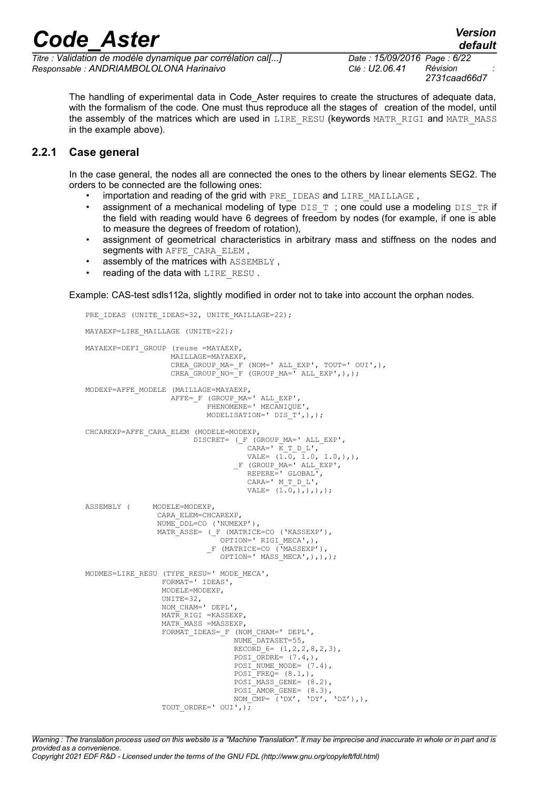*Titre : Validation de modèle dynamique par corrélation cal[...] Date : 15/09/2016 Page : 6/22 Responsable : ANDRIAMBOLOLONA Harinaivo Clé : U2.06.41 Révision :*

*2731caad66d7*

The handling of experimental data in Code\_Aster requires to create the structures of adequate data, with the formalism of the code. One must thus reproduce all the stages of creation of the model, until the assembly of the matrices which are used in LIRE\_RESU (keywords MATR\_RIGI and MATR\_MASS in the example above).

#### **2.2.1 Case general**

In the case general, the nodes all are connected the ones to the others by linear elements SEG2. The orders to be connected are the following ones:

- importation and reading of the grid with PRE\_IDEAS and LIRE\_MAILLAGE,
- assignment of a mechanical modeling of type  $DIST$ ; one could use a modeling  $DISTR$  if the field with reading would have 6 degrees of freedom by nodes (for example, if one is able to measure the degrees of freedom of rotation),
- assignment of geometrical characteristics in arbitrary mass and stiffness on the nodes and segments with AFFE\_CARA\_ELEM,
- assembly of the matrices with ASSEMBLY ,
- reading of the data with LIRE\_RESU.

Example: CAS-test sdls112a, slightly modified in order not to take into account the orphan nodes.

```
PRE_IDEAS (UNITE_IDEAS=32, UNITE_MAILLAGE=22);
MAYAEXP=LIRE MAILLAGE (UNITE=22);
MAYAEXP=DEFI_GROUP (reuse =MAYAEXP,
                   MAILLAGE=MAYAEXP,
                   CREA_GROUP_MA=_F (NOM=' ALL_EXP', TOUT=' OUI',),
                  CREA GROUP NO= F (GROUP MA=<sup>T</sup> ALL EXP',),);
MODEXP=AFFE_MODELE (MAILLAGE=MAYAEXP,
                  AFFE=_F (GROUP_MA=' ALL_EXP',
                          PHENOMENE=' MECANIQUE',
                          MODELISATION=' DIS_T',),);
CHCAREXP=AFFE_CARA_ELEM (MODELE=MODEXP,
                       DISCRET= (_F (GROUP_MA=' ALL_EXP',
\mathtt{CARA} = \texttt{'} \ \ \mathtt{K\_T\_D\_L'}VALE= (1.0, 1.0, 1.0,),),F (GROUP MA=' ALL EXP',
                                  REPERE=' GLOBAL<sup>T</sup>,
                                    CARA=' M_T_D_L',
                                    VALE= (1.0,),),),);
ASSEMBLY ( MODELE=MODEXP,
                CARA_ELEM=CHCAREXP,
                NUME_DDL=CO ('NUMEXP'),
                MATR_ASSE= (_F (MATRICE=CO ('KASSEXP'),
                            OPTION=' RIGI MECA',),
                          F (MATRICE=CO (\overline{Y}MASSEXP').
                             OPTION=' MASS_MECA',),),);
MODMES=LIRE_RESU (TYPE_RESU=' MODE_MECA',
                 FORMAT=' IDEAS',
                 MODELE=MODEXP,
                UNITTE=32.
                 NOM_CHAM=' DEPL',
                MATR RIGI =KASSEXP,
                MATR MASS =MASSEXP,
                FORMAT IDEAS= F (NOM CHAM=' DEPL',
                               NUME<sup>DATASET=55,</sup>
                               RECORD_6= (1, 2, 2, 8, 2, 3),
                                POSI ORDRE= (7.4),
                                POSI<sup>NUME</sup> MODE= (7.4),
                                POSTFREQ = (8.1,),POSI<sup>MASS</sup> GENE= (8.2),
POSI AMOR GENE= (8.3),
NOM CMP= ('DX', 'DY', 'DZ'),TOUT ORDRE=' OUI', );
```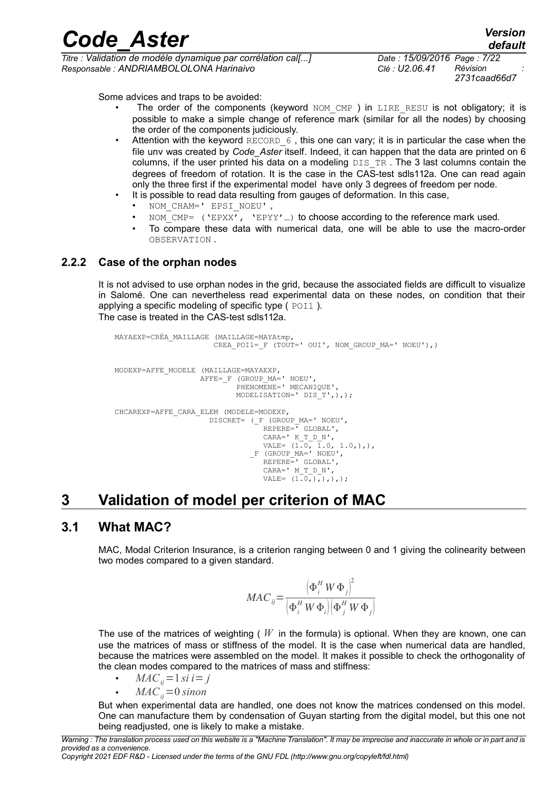*Code\_Aster Version Titre : Validation de modèle dynamique par corrélation cal[...] Date : 15/09/2016 Page : 7/22 Responsable : ANDRIAMBOLOLONA Harinaivo Clé : U2.06.41 Révision :*

*2731caad66d7*

Some advices and traps to be avoided:

- The order of the components (keyword NOM CMP ) in LIRE RESU is not obligatory; it is possible to make a simple change of reference mark (similar for all the nodes) by choosing the order of the components judiciously.
- Attention with the keyword RECORD  $6$ , this one can vary; it is in particular the case when the file unv was created by *Code\_Aster* itself. Indeed, it can happen that the data are printed on 6 columns, if the user printed his data on a modeling  $DISTR$ . The 3 last columns contain the degrees of freedom of rotation. It is the case in the CAS-test sdls112a. One can read again only the three first if the experimental model have only 3 degrees of freedom per node.
	- It is possible to read data resulting from gauges of deformation. In this case,
	- NOM\_CHAM=' EPSI\_NOEU' ,
	- NOM CMP= ('EPXX', 'EPYY'...) to choose according to the reference mark used.
	- To compare these data with numerical data, one will be able to use the macro-order OBSERVATION .

#### **2.2.2 Case of the orphan nodes**

It is not advised to use orphan nodes in the grid, because the associated fields are difficult to visualize in Salomé. One can nevertheless read experimental data on these nodes, on condition that their applying a specific modeling of specific type  $($  POI1  $).$ The case is treated in the CAS-test sdls112a.

```
MAYAEXP=CRÉA_MAILLAGE (MAILLAGE=MAYAtmp,
                   CREA POI1= F (TOUT=' OUI', NOM GROUP MA=' NOEU'),)
MODEXP=AFFE_MODELE (MAILLAGE=MAYAEXP,
AFFE= F (GROUP MA=' NOEU',
                        PHENOMENE=' MECANIQUE',
                       MODELISATION=' DIS T',),);
CHCAREXP=AFFE_CARA_ELEM (MODELE=MODEXP,
                   DISCRET= (_F (GROUP_MA=' NOEU',
                             REPERE=<sup>1</sup> GLOBAL',
                             CARA=' K T D N',
\text{VALE} = (1.0, 1.0, 1.0,), _F (GROUP_MA=' NOEU',
                             REPERE=' GLOBAL',
                              CARA=' M_T_D_N',
                              VALE= (1.0,),),),);
```
### <span id="page-6-0"></span>**3 Validation of model per criterion of MAC**

#### **3.1 What MAC?**

MAC, Modal Criterion Insurance, is a criterion ranging between 0 and 1 giving the colinearity between two modes compared to a given standard.

$$
MAC_{ij} = \frac{\left(\Phi_i^H W \Phi_j\right)^2}{\left(\Phi_i^H W \Phi_i\right)\left(\Phi_j^H W \Phi_j\right)}
$$

The use of the matrices of weighting ( *W* in the formula) is optional. When they are known, one can use the matrices of mass or stiffness of the model. It is the case when numerical data are handled, because the matrices were assembled on the model. It makes it possible to check the orthogonality of the clean modes compared to the matrices of mass and stiffness:

• 
$$
MAC_{ij} = 1 \, si \, i = j
$$

 $MAC<sub>ii</sub> = 0$  *sinon* 

But when experimental data are handled, one does not know the matrices condensed on this model. One can manufacture them by condensation of Guyan starting from the digital model, but this one not being readjusted, one is likely to make a mistake.

*Copyright 2021 EDF R&D - Licensed under the terms of the GNU FDL (http://www.gnu.org/copyleft/fdl.html)*

*Warning : The translation process used on this website is a "Machine Translation". It may be imprecise and inaccurate in whole or in part and is provided as a convenience.*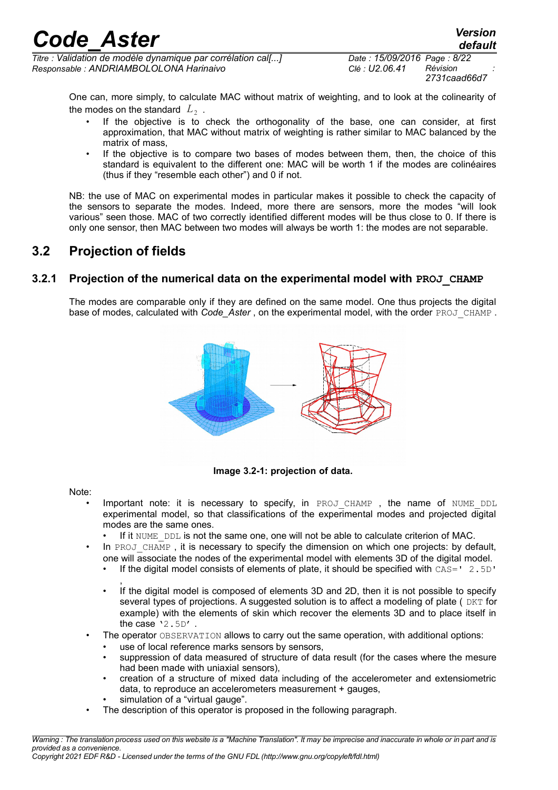*Titre : Validation de modèle dynamique par corrélation cal[...] Date : 15/09/2016 Page : 8/22 Responsable : ANDRIAMBOLOLONA Harinaivo Clé : U2.06.41 Révision :*

*2731caad66d7*

One can, more simply, to calculate MAC without matrix of weighting, and to look at the colinearity of the modes on the standard  $|L_2|$  .

- If the objective is to check the orthogonality of the base, one can consider, at first approximation, that MAC without matrix of weighting is rather similar to MAC balanced by the matrix of mass,
- If the objective is to compare two bases of modes between them, then, the choice of this standard is equivalent to the different one: MAC will be worth 1 if the modes are colinéaires (thus if they "resemble each other") and 0 if not.

NB: the use of MAC on experimental modes in particular makes it possible to check the capacity of the sensors to separate the modes. Indeed, more there are sensors, more the modes "will look various" seen those. MAC of two correctly identified different modes will be thus close to 0. If there is only one sensor, then MAC between two modes will always be worth 1: the modes are not separable.

### **3.2 Projection of fields**

#### **3.2.1 Projection of the numerical data on the experimental model with PROJ\_CHAMP**

The modes are comparable only if they are defined on the same model. One thus projects the digital base of modes, calculated with *Code* Aster, on the experimental model, with the order PROJ\_CHAMP.



**Image 3.2-1: projection of data.**

Note:

- Important note: it is necessary to specify, in PROJ CHAMP , the name of NUME DDL experimental model, so that classifications of the experimental modes and projected digital modes are the same ones.
	- If it NUME DDL is not the same one, one will not be able to calculate criterion of MAC.
- In PROJ CHAMP, it is necessary to specify the dimension on which one projects: by default, one will associate the nodes of the experimental model with elements 3D of the digital model.
	- If the digital model consists of elements of plate, it should be specified with  $\text{CAS} = ' 2.5D'$
	- , If the digital model is composed of elements 3D and 2D, then it is not possible to specify several types of projections. A suggested solution is to affect a modeling of plate ( $DKT$  for example) with the elements of skin which recover the elements 3D and to place itself in the case  $'2.5D'$ .
- The operator OBSERVATION allows to carry out the same operation, with additional options:
	- use of local reference marks sensors by sensors,
	- suppression of data measured of structure of data result (for the cases where the mesure had been made with uniaxial sensors),
	- creation of a structure of mixed data including of the accelerometer and extensiometric data, to reproduce an accelerometers measurement + gauges,
	- simulation of a "virtual gauge".
- The description of this operator is proposed in the following paragraph.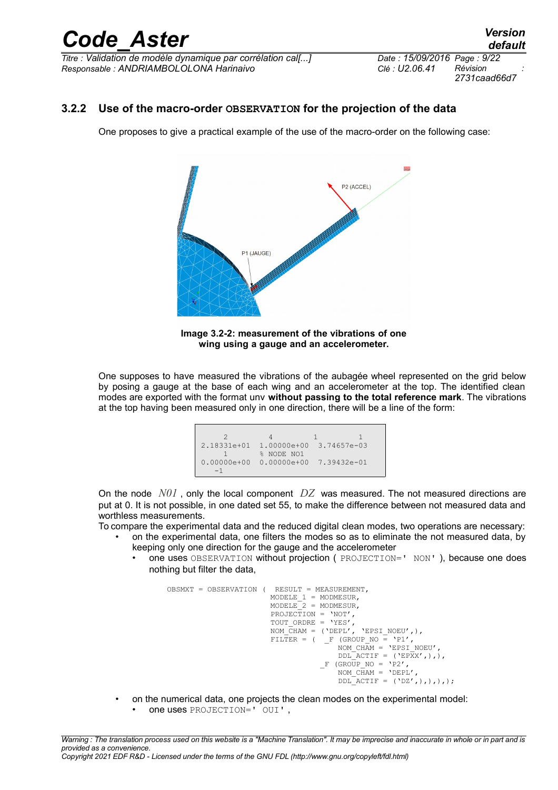*Titre : Validation de modèle dynamique par corrélation cal[...] Date : 15/09/2016 Page : 9/22 Responsable : ANDRIAMBOLOLONA Harinaivo Clé : U2.06.41 Révision :*

*2731caad66d7*

#### **3.2.2 Use of the macro-order OBSERVATION for the projection of the data**

One proposes to give a practical example of the use of the macro-order on the following case:



**Image 3.2-2: measurement of the vibrations of one wing using a gauge and an accelerometer.**

One supposes to have measured the vibrations of the aubagée wheel represented on the grid below by posing a gauge at the base of each wing and an accelerometer at the top. The identified clean modes are exported with the format unv **without passing to the total reference mark**. The vibrations at the top having been measured only in one direction, there will be a line of the form:

| $2.18331e+01$   |            | 1.00000e+00 3.74657e-03   |  |
|-----------------|------------|---------------------------|--|
|                 | % NODE NO1 |                           |  |
| $0.00000e + 00$ |            | $0.00000e+00$ 7.39432e-01 |  |
|                 |            |                           |  |

On the node *N01* , only the local component *DZ* was measured. The not measured directions are put at 0. It is not possible, in one dated set 55, to make the difference between not measured data and worthless measurements.

To compare the experimental data and the reduced digital clean modes, two operations are necessary: • on the experimental data, one filters the modes so as to eliminate the not measured data, by

- keeping only one direction for the gauge and the accelerometer
	- one uses OBSERVATION without projection ( PROJECTION=' NON' ), because one does nothing but filter the data,

```
OBSMXT = OBSERVATION ( RESULT = MEASUREMENT,
                   MODELE_1 = MODMESUR,MODELE 2 = MODMESUR,
 PROJECTION = 'NOT',
TOUT ORDRE = 'YES',
NOM CHAM = ('DEFL', 'EPSI NOEU',),FILTER = ( F (GROUP NO = 'P1',
NOM CHAM = 'EPSI NOEU',
                                DDL ACTIF = (\n\begin{bmatrix} \n\end{bmatrix} E P \overline{X} X', \cdot),F (GROUP NO = 'P2')
                                NOMCHAM = 'DEPL',
                                \overline{\text{DDL} \text{ACTIF}} = (\text{'DZ}',),),),\},
```
- on the numerical data, one projects the clean modes on the experimental model:
	- one uses PROJECTION=' OUI' ,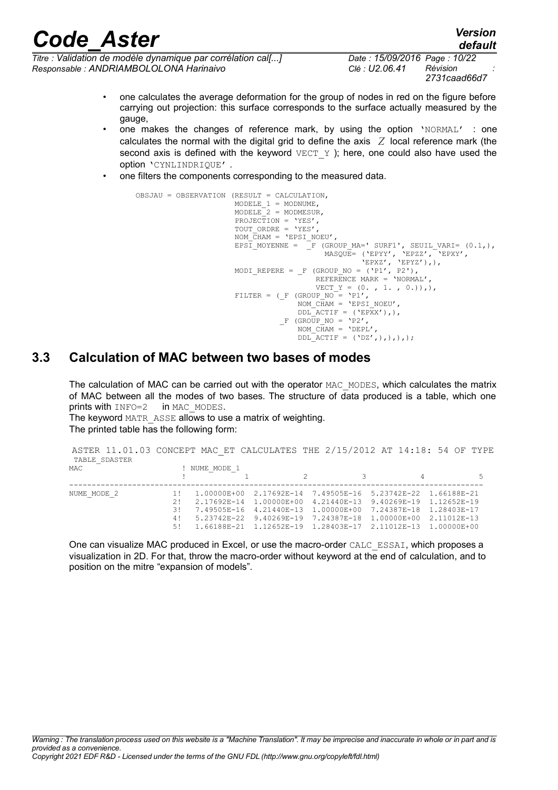*Titre : Validation de modèle dynamique par corrélation cal[...] Date : 15/09/2016 Page : 10/22 Responsable : ANDRIAMBOLOLONA Harinaivo Clé : U2.06.41 Révision :*

*2731caad66d7*

*default*

- one calculates the average deformation for the group of nodes in red on the figure before carrying out projection: this surface corresponds to the surface actually measured by the gauge,
- one makes the changes of reference mark, by using the option 'NORMAL' : one calculates the normal with the digital grid to define the axis *Z* local reference mark (the second axis is defined with the keyword  $VECT Y$  ); here, one could also have used the option 'CYNLINDRIQUE' .
- one filters the components corresponding to the measured data.

```
OBSJAU = OBSERVATION (RESULT = CALCULATION,
                   MODELE 1 = MODNUME,
                   MODELE<sup>-2</sup> = MODMESUR,
                   PROJECTION = 'YES',
                   TOUT ORDRE = 'YES',
                   NOM CHAM = 'EPSI NOEU',EPSI MOYENNE = _F (GROUP MA=' SURF1', SEUIL VARI= (0.1,),
 MASQUE= ('EPYY', 'EPZZ', 'EPXY',
'EPXZ', 'EPYZ'),),
                   MODI_REPERE = _F (GROUP_NO = ('P1', P2'),
                                    REFERENCE MARK = 'NORMAL',
                                   VECT Y = (0. , 1. , 0.)),
                   FILTER = (-F (GROUP NO = 'P1',NOM CHAM = 'EPSI NOEU',DDL<sup>-</sup>ACTIF = ('EPXX'),),
                            -F (GROUP NO = 'P2',
                                NOM \overline{CHAM} = 'DEPL',
                                LDLL \overline{ACTIF} = ('DZ',),),),),
```
#### **3.3 Calculation of MAC between two bases of modes**

The calculation of MAC can be carried out with the operator MAC\_MODES, which calculates the matrix of MAC between all the modes of two bases. The structure of data produced is a table, which one prints with  $INFO=2$  in MAC MODES. prints with  $INFO=2$ 

The keyword MATR\_ASSE allows to use a matrix of weighting. The printed table has the following form:

| ASTER 11.01.03 CONCEPT MAC ET CALCULATES THE 2/15/2012 AT 14:18: 54 OF TYPE<br>TABLE SDASTER |     |               |                                                                       |  |   |   |
|----------------------------------------------------------------------------------------------|-----|---------------|-----------------------------------------------------------------------|--|---|---|
| MAC                                                                                          |     | ! NUME MODE 1 |                                                                       |  |   |   |
|                                                                                              |     |               |                                                                       |  | 4 | 5 |
| NUME MODE 2                                                                                  | 11  |               | $1.00000E+00$ $2.17692E-14$ $7.49505E-16$ $5.23742E-22$ $1.66188E-21$ |  |   |   |
|                                                                                              | 21  |               | 2.17692E-14 1.00000E+00 4.21440E-13 9.40269E-19 1.12652E-19           |  |   |   |
|                                                                                              | 3 ! |               | 7.49505E-16 4.21440E-13 1.00000E+00 7.24387E-18 1.28403E-17           |  |   |   |
|                                                                                              | 4 ! |               | $5.23742E-22$ 9.40269E-19 7.24387E-18 1.00000E+00 2.11012E-13         |  |   |   |
|                                                                                              | 5!  |               | $1.66188E-21$ $1.12652E-19$ $1.28403E-17$ $2.11012E-13$ $1.00000E+00$ |  |   |   |

One can visualize MAC produced in Excel, or use the macro-order CALC\_ESSAI, which proposes a visualization in 2D. For that, throw the macro-order without keyword at the end of calculation, and to position on the mitre "expansion of models".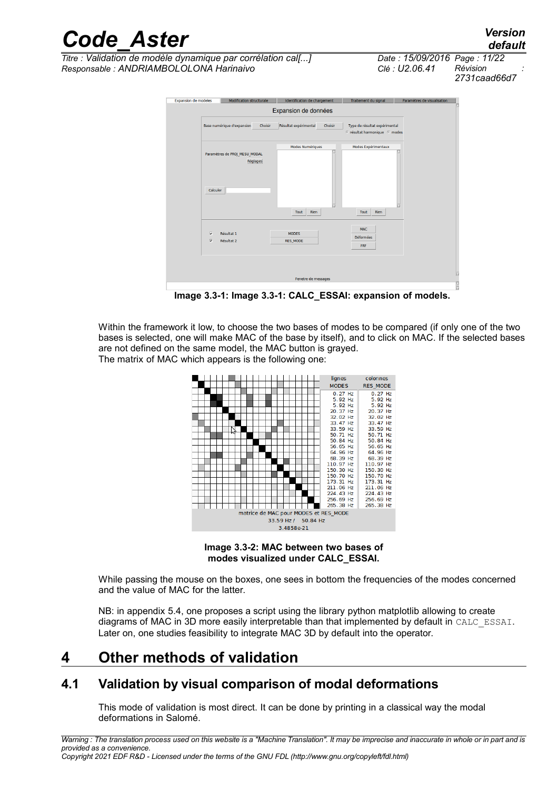*default*

*Titre : Validation de modèle dynamique par corrélation cal[...] Date : 15/09/2016 Page : 11/22 Responsable : ANDRIAMBOLOLONA Harinaivo Clé : U2.06.41 Révision :*

*2731caad66d7*

| <b>Expansion de modeles</b>                        | <b>Modification structurale</b>           | Identification de chargement     | Traitement du signal                                                      | Paramètres de visualisation |
|----------------------------------------------------|-------------------------------------------|----------------------------------|---------------------------------------------------------------------------|-----------------------------|
|                                                    |                                           | Expansion de données             |                                                                           |                             |
|                                                    | Base numérique d'expansion<br>Choisir     | Résultat expérimental<br>Choisir | Type de résultat expérimental<br><sup>●</sup> résultat harmonique ● modes |                             |
| Calculer                                           | Paramètres de PROJ_MESU_MODAL<br>Réglages | Modes Numériques<br>Rien<br>Tout | Modes Expérimentaux<br>Rien<br>Tout                                       |                             |
| $\overline{\mathbf{v}}$<br>$\overline{\mathbf{v}}$ | Résultat 1<br>Résultat 2                  | <b>MODES</b><br><b>RES_MODE</b>  | <b>MAC</b><br>Déformées<br>FRF                                            |                             |
|                                                    |                                           |                                  |                                                                           |                             |

**Image 3.3-1: Image 3.3-1: CALC\_ESSAI: expansion of models.**

Within the framework it low, to choose the two bases of modes to be compared (if only one of the two bases is selected, one will make MAC of the base by itself), and to click on MAC. If the selected bases are not defined on the same model, the MAC button is grayed. The matrix of MAC which appears is the following one:



**Image 3.3-2: MAC between two bases of modes visualized under CALC\_ESSAI.**

While passing the mouse on the boxes, one sees in bottom the frequencies of the modes concerned and the value of MAC for the latter.

NB: in appendix [5.4,](#page-19-0) one proposes a script using the library python matplotlib allowing to create diagrams of MAC in 3D more easily interpretable than that implemented by default in CALC\_ESSAI. Later on, one studies feasibility to integrate MAC 3D by default into the operator.

### <span id="page-10-0"></span>**4 Other methods of validation**

### **4.1 Validation by visual comparison of modal deformations**

This mode of validation is most direct. It can be done by printing in a classical way the modal deformations in Salomé.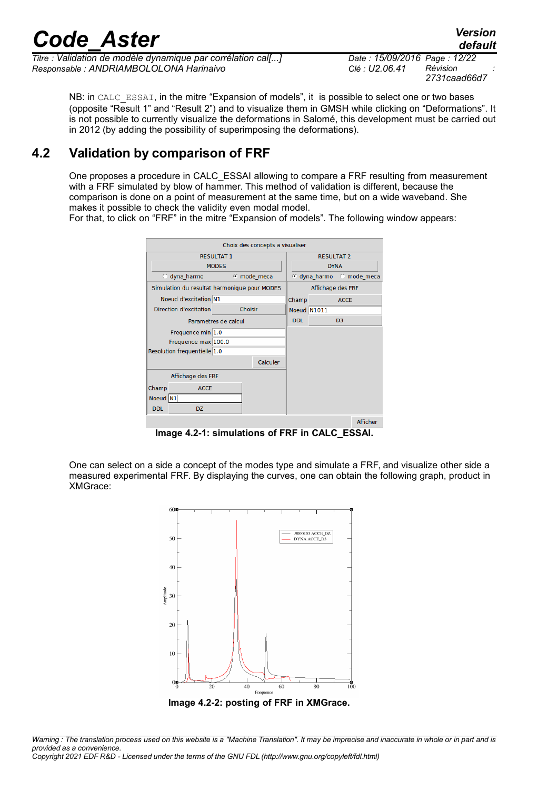*Titre : Validation de modèle dynamique par corrélation cal[...] Date : 15/09/2016 Page : 12/22 Responsable : ANDRIAMBOLOLONA Harinaivo Clé : U2.06.41 Révision :*

*default 2731caad66d7*

NB: in CALC ESSAI, in the mitre "Expansion of models", it is possible to select one or two bases (opposite "Result 1" and "Result 2") and to visualize them in GMSH while clicking on "Deformations". It is not possible to currently visualize the deformations in Salomé, this development must be carried out in 2012 (by adding the possibility of superimposing the deformations).

### **4.2 Validation by comparison of FRF**

One proposes a procedure in CALC\_ESSAI allowing to compare a FRF resulting from measurement with a FRF simulated by blow of hammer. This method of validation is different, because the comparison is done on a point of measurement at the same time, but on a wide waveband. She makes it possible to check the validity even modal model.

For that, to click on "FRF" in the mitre "Expansion of models". The following window appears:

| Choix des concepts a visualiser   |                                              |  |          |             |                   |                          |          |  |  |
|-----------------------------------|----------------------------------------------|--|----------|-------------|-------------------|--------------------------|----------|--|--|
| <b>RESULTAT 1</b>                 |                                              |  |          |             | <b>RESULTAT 2</b> |                          |          |  |  |
|                                   | <b>MODES</b>                                 |  |          | <b>DYNA</b> |                   |                          |          |  |  |
| C dyna harmo                      | Compared to mechanism                        |  |          |             |                   | C dyna harmo C mode meca |          |  |  |
|                                   | Simulation du resultat harmonique pour MODES |  |          |             |                   | Affichage des FRF        |          |  |  |
| Noeud d'excitation N1             |                                              |  |          |             | Champ             | <b>ACCE</b>              |          |  |  |
| Choisir<br>Direction d'excitation |                                              |  |          |             | Noeud N1011       |                          |          |  |  |
| Parametres de calcul              |                                              |  |          |             |                   | D <sub>3</sub>           |          |  |  |
| Frequence min 1.0                 |                                              |  |          |             |                   |                          |          |  |  |
| Frequence max 100.0               |                                              |  |          |             |                   |                          |          |  |  |
| Resolution frequentielle 1.0      |                                              |  |          |             |                   |                          |          |  |  |
|                                   |                                              |  | Calculer |             |                   |                          |          |  |  |
| Affichage des FRF                 |                                              |  |          |             |                   |                          |          |  |  |
| Champ<br><b>ACCE</b>              |                                              |  |          |             |                   |                          |          |  |  |
| Noeud N1                          |                                              |  |          |             |                   |                          |          |  |  |
| <b>DDL</b><br>DZ.                 |                                              |  |          |             |                   |                          |          |  |  |
|                                   |                                              |  |          |             |                   |                          | Afficher |  |  |

**Image 4.2-1: simulations of FRF in CALC\_ESSAI.**

One can select on a side a concept of the modes type and simulate a FRF, and visualize other side a measured experimental FRF. By displaying the curves, one can obtain the following graph, product in XMGrace:





*Copyright 2021 EDF R&D - Licensed under the terms of the GNU FDL (http://www.gnu.org/copyleft/fdl.html)*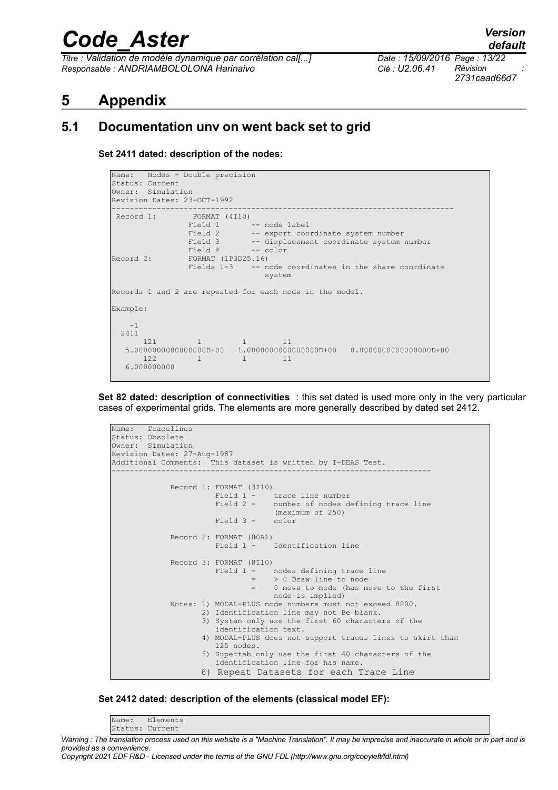*Titre : Validation de modèle dynamique par corrélation cal[...] Date : 15/09/2016 Page : 13/22 Responsable : ANDRIAMBOLOLONA Harinaivo Clé : U2.06.41 Révision :*

*2731caad66d7*

### **5 Appendix**

#### **5.1 Documentation unv on went back set to grid**

<span id="page-12-0"></span>**Set 2411 dated: description of the nodes:**

```
Name: Nodes - Double precision
Status: Current 
Owner: Simulation 
Revision Dates: 23-OCT-1992 
---------------------------------------------------------------------------- 
 Record 1: \frac{FORMAT}{Findd 1} (4110)
               Field 1 -- node label<br>Field 2 -- export coor
                Field 2 -- export coordinate system number<br>Field 3 -- displacement coordinate system
Field 3 -- displacement coordinate system number
 Field 4 -- color 
Record 2: FORMAT (1P3D25.16) 
                 Fields 1-3 -- node coordinates in the share coordinate 
                                 system 
Records 1 and 2 are repeated for each node in the model. 
Example: 
    -1 
   2411 
121 1 1 1 1
    5.0000000000000000D+00 1.0000000000000000D+00 0.0000000000000000D+00 
122 1 1 1 1
    6.000000000
```
**Set 82 dated: description of connectivities** : this set dated is used more only in the very particular cases of experimental grids. The elements are more generally described by dated set 2412.



#### **Set 2412 dated: description of the elements (classical model EF):**

Name: Elements Status: Current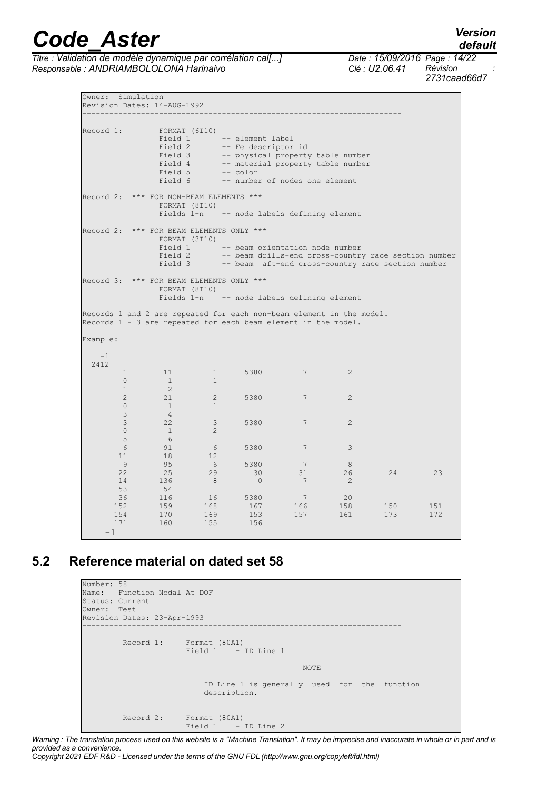*Titre : Validation de modèle dynamique par corrélation cal[...] Date : 15/09/2016 Page : 14/22 Responsable : ANDRIAMBOLOLONA Harinaivo Clé : U2.06.41 Révision :*

*2731caad66d7*

Owner: Simulation Revision Dates: 14-AUG-1992 ----------------------------------------------------------------------- Record 1: FORMAT (6I10)<br>Field 1 Field 1 -- element label<br>Field 2 -- Fe descriptor Field 2 -- Fe descriptor id<br>Field 3 -- physical property Field 3 -- physical property table number<br>Field 4 -- material property table number -- material property table number<br>-- color Field 5<br>Field 6 -- number of nodes one element Record 2: \*\*\* FOR NON-BEAM ELEMENTS \*\*\* FORMAT (8I10)<br>Fields 1-n -- node labels defining element Record 2: \*\*\* FOR BEAM ELEMENTS ONLY \*\*\* FORMAT (3I10) Field 1 -- beam orientation node number<br>Field 2 -- beam drills-end cross-country Field 2 -- beam drills-end cross-country race section number<br>Field 3 -- beam aft-end cross-country race section number -- beam aft-end cross-country race section number Record 3: \*\*\* FOR BEAM ELEMENTS ONLY \*\*\* FORMAT (8I10)<br>Fields 1-n -- node labels defining element Records 1 and 2 are repeated for each non-beam element in the model. Records 1 - 3 are repeated for each beam element in the model. Example:  $-1$  2412 1 11 1 5380 7 2  $\begin{matrix} 0&\quad&1\\ 1&\quad&2 \end{matrix} \qquad \qquad \begin{matrix} 1\\ 1\\ 1\\ 1 \end{matrix}$  1 2  $2$  21 2 5380 7 2 0 1 1 3 4 3 22 3 5380 7 2  $0 \qquad \qquad 1 \qquad \qquad 2$  $\begin{matrix} 5 & 6 \\ 6 & 91 \end{matrix}$  6 91 6 5380 7 3  $\begin{array}{ccccccc}\n 11 & & & 18 & & & 12 \\
 9 & & & 95 & & & 6 \\
 22 & & & 25 & & 29\n\end{array}$  9 95 6 5380 7 8 22 25 29 30 31 26 24 23 14 136 8 0 7 2 53 54 36 116 16 5380 7 20 152 159 168 167 166 158 150 151 152 159 168 167 166 158 150 151<br>154 170 169 153 157 161 173 172 171 160 155 156 -1

### **5.2 Reference material on dated set 58**

```
Number: 58 
Name: Function Nodal At DOF 
Status: Current 
Owner: Test 
Revision Dates: 23-Apr-1993 
                                                ----------------------------------------------------------------------- 
Record 1: Format (80A1)
Field 1 - ID Line 1
NOTE And the contract of the contract of the contract of the contract of the contract of the contract of the c
                                ID Line 1 is generally used for the function 
                                description. 
           Record 2: Format (80A1) 
                          Field 1 - ID Line 2
```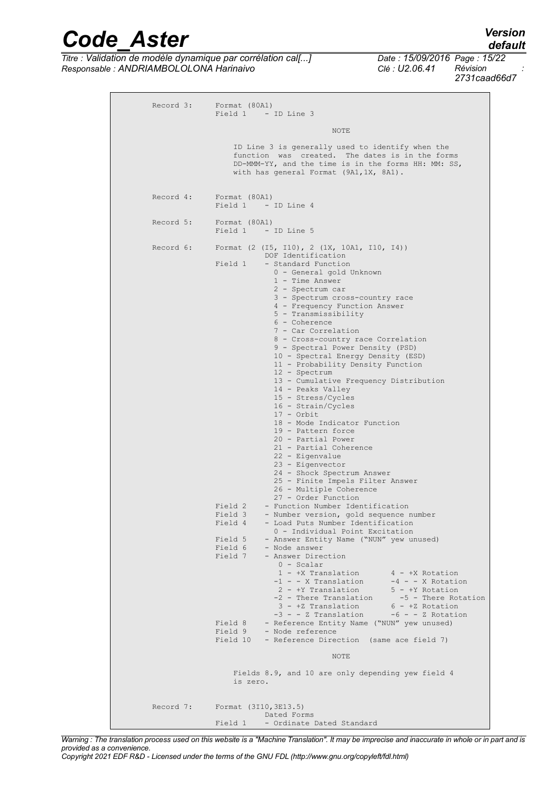*Titre : Validation de modèle dynamique par corrélation cal[...] Date : 15/09/2016 Page : 15/22 Responsable : ANDRIAMBOLOLONA Harinaivo Clé : U2.06.41 Révision :*

*default 2731caad66d7*

|           | Record 3: Format (80A1)<br>Field 1 - ID Line 3                                                                                                                                                                                                                                                                                                                                                                                                                                                                                                                                                                                                                                                                                                                                                                                                                                                                                                                                                                                                                                                                                                                                                                                                                                                                                                                                                                                                                                                                                                                                                                                                                                                      |
|-----------|-----------------------------------------------------------------------------------------------------------------------------------------------------------------------------------------------------------------------------------------------------------------------------------------------------------------------------------------------------------------------------------------------------------------------------------------------------------------------------------------------------------------------------------------------------------------------------------------------------------------------------------------------------------------------------------------------------------------------------------------------------------------------------------------------------------------------------------------------------------------------------------------------------------------------------------------------------------------------------------------------------------------------------------------------------------------------------------------------------------------------------------------------------------------------------------------------------------------------------------------------------------------------------------------------------------------------------------------------------------------------------------------------------------------------------------------------------------------------------------------------------------------------------------------------------------------------------------------------------------------------------------------------------------------------------------------------------|
|           | NOTE                                                                                                                                                                                                                                                                                                                                                                                                                                                                                                                                                                                                                                                                                                                                                                                                                                                                                                                                                                                                                                                                                                                                                                                                                                                                                                                                                                                                                                                                                                                                                                                                                                                                                                |
|           | ID Line 3 is generally used to identify when the<br>function was created. The dates is in the forms<br>$DD-MMM-YY$ , and the time is in the forms HH: MM: SS,<br>with has general Format (9A1,1X, 8A1).                                                                                                                                                                                                                                                                                                                                                                                                                                                                                                                                                                                                                                                                                                                                                                                                                                                                                                                                                                                                                                                                                                                                                                                                                                                                                                                                                                                                                                                                                             |
|           | Record 4: Format (80A1)<br>Field 1 - ID Line 4                                                                                                                                                                                                                                                                                                                                                                                                                                                                                                                                                                                                                                                                                                                                                                                                                                                                                                                                                                                                                                                                                                                                                                                                                                                                                                                                                                                                                                                                                                                                                                                                                                                      |
| Record 5: | Format (80A1)<br>Field 1 - ID Line 5                                                                                                                                                                                                                                                                                                                                                                                                                                                                                                                                                                                                                                                                                                                                                                                                                                                                                                                                                                                                                                                                                                                                                                                                                                                                                                                                                                                                                                                                                                                                                                                                                                                                |
| Record 6: | Format (2 (I5, I10), 2 (1X, 10A1, I10, I4))<br>DOF Identification<br>Field 1<br>- Standard Function<br>0 - General gold Unknown<br>1 - Time Answer<br>2 - Spectrum car<br>3 - Spectrum cross-country race<br>4 - Frequency Function Answer<br>5 - Transmissibility<br>6 - Coherence<br>7 - Car Correlation<br>8 - Cross-country race Correlation<br>9 - Spectral Power Density (PSD)<br>10 - Spectral Energy Density (ESD)<br>11 - Probability Density Function<br>12 - Spectrum<br>13 - Cumulative Frequency Distribution<br>14 - Peaks Valley<br>15 - Stress/Cycles<br>16 - Strain/Cycles<br>$17 -$ Orbit<br>18 - Mode Indicator Function<br>19 - Pattern force<br>20 - Partial Power<br>21 - Partial Coherence<br>22 - Eigenvalue<br>23 - Eigenvector<br>24 - Shock Spectrum Answer<br>25 - Finite Impels Filter Answer<br>26 - Multiple Coherence<br>27 - Order Function<br>- Function Number Identification<br>Field 2<br>Field 3<br>- Number version, gold sequence number<br>Field 4<br>- Load Puts Number Identification<br>0 - Individual Point Excitation<br>Field 5<br>- Answer Entity Name ("NUN" yew unused)<br>Field 6<br>- Node answer<br>Field 7<br>- Answer Direction<br>$0 - Scalar$<br>1 - +X Translation<br>$4 - +X$ Rotation<br>-1 - - X Translation<br>$-4$ - - X Rotation<br>2 - +Y Translation<br>$5 - +Y$ Rotation<br>-2 - There Translation<br>-5 - There Rotation<br>3 - +Z Translation<br>$6 - +Z$ Rotation<br>-3 - - Z Translation<br>$-6 - - 2$ Rotation<br>- Reference Entity Name ("NUN" yew unused)<br>Field 8<br>Field 9<br>- Node reference<br>Field 10<br>- Reference Direction (same ace field 7)<br>NOTE<br>Fields 8.9, and 10 are only depending yew field 4 |
|           | is zero.<br>Record 7: Format (3I10, 3E13.5)                                                                                                                                                                                                                                                                                                                                                                                                                                                                                                                                                                                                                                                                                                                                                                                                                                                                                                                                                                                                                                                                                                                                                                                                                                                                                                                                                                                                                                                                                                                                                                                                                                                         |
|           | Dated Forms<br>Field 1 - Ordinate Dated Standard                                                                                                                                                                                                                                                                                                                                                                                                                                                                                                                                                                                                                                                                                                                                                                                                                                                                                                                                                                                                                                                                                                                                                                                                                                                                                                                                                                                                                                                                                                                                                                                                                                                    |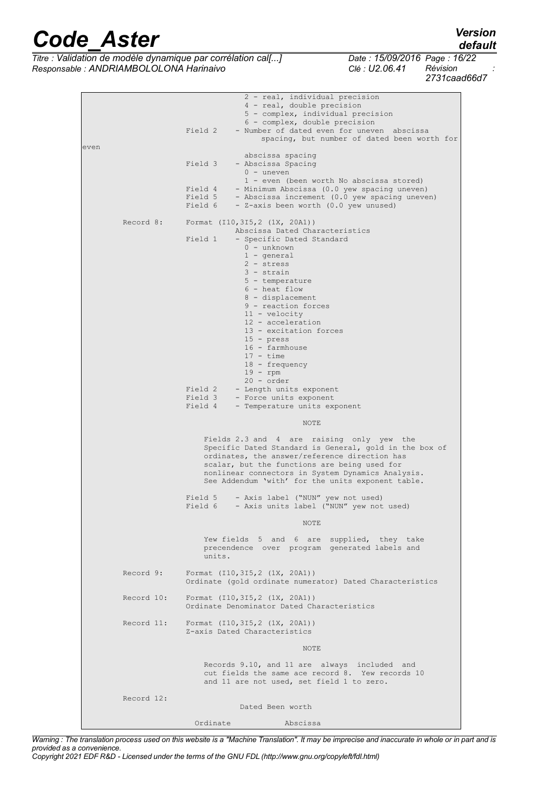*Titre : Validation de modèle dynamique par corrélation cal[...] Date : 15/09/2016 Page : 16/22 Responsable : ANDRIAMBOLOLONA Harinaivo Clé : U2.06.41 Révision :*

*2731caad66d7*

 2 - real, individual precision 4 - real, double precision 5 - complex, individual precision 6 - complex, double precision Field 2 - Number of dated even for uneven abscissa spacing, but number of dated been worth for even abscissa spacing<br>Field 3 - Abscissa Spacing - Abscissa Spacing  $0 -$  uneven 1 - even (been worth No abscissa stored)<br>Field 4 - Minimum Abscissa (0.0 yew spacing uneven - Minimum Abscissa (0.0 yew spacing uneven) Field 5 - Abscissa increment  $(0.0 \text{ yew spacing uneven})$ <br>Field 6 - Z-axis been worth  $(0.0 \text{ yew unused})$ - Z-axis been worth (0.0 yew unused) Record 8: Format (I10,3I5,2 (1X, 20A1)) Abscissa Dated Characteristics Field 1 - Specific Dated Standard 0 - unknown 1 - general 2 - stress 3 - strain 5 - temperature 6 - heat flow 8 - displacement 9 - reaction forces 11 - velocity 12 - acceleration 13 - excitation forces 15 - press 16 - farmhouse  $17 - time$  18 - frequency  $19 - rpm$ 20 - order<br>Field 2 - Length uni Field 2 - Length units exponent<br>Field 3 - Force units exponent Field 3 - Force units exponent<br>Field 4 - Temperature units ex-- Temperature units exponent NOTE And the contract of the contract of the contract of the contract of the contract of the contract of the c Fields 2.3 and 4 are raising only yew the Specific Dated Standard is General, gold in the box of ordinates, the answer/reference direction has scalar, but the functions are being used for nonlinear connectors in System Dynamics Analysis. See Addendum 'with' for the units exponent table. Field 5 - Axis label ("NUN" yew not used)<br>Field 6 - Axis units label ("NUN" yew not - Axis units label ("NUN" yew not used) NOTE And the contract of the contract of the contract of the contract of the contract of the contract of the c Yew fields 5 and 6 are supplied, they take precendence over program generated labels and units. Record 9: Format (I10,3I5,2 (1X, 20A1)) Ordinate (gold ordinate numerator) Dated Characteristics Record 10: Format (I10,3I5,2 (1X, 20A1)) Ordinate Denominator Dated Characteristics Record 11: Format (I10,3I5,2 (1X, 20A1)) Z-axis Dated Characteristics NOTE And the contract of the contract of the contract of the contract of the contract of the contract of the c Records 9.10, and 11 are always included and  $\mathbb{R}$ cut fields the same ace record 8. Yew records 10 and 11 are not used, set field 1 to zero. Record 12: Dated Been worth

Ordinate Abscissa

*Warning : The translation process used on this website is a "Machine Translation". It may be imprecise and inaccurate in whole or in part and is provided as a convenience.*

*Copyright 2021 EDF R&D - Licensed under the terms of the GNU FDL (http://www.gnu.org/copyleft/fdl.html)*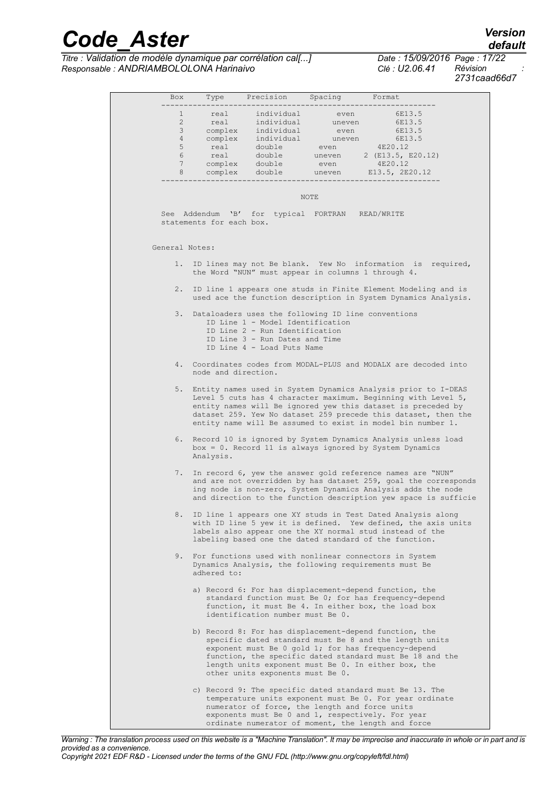*Titre : Validation de modèle dynamique par corrélation cal[...] Date : 15/09/2016 Page : 17/22 Responsable : ANDRIAMBOLOLONA Harinaivo Clé : U2.06.41 Révision :*

*default 2731caad66d7*

| Box            |                          | Type Precision Spacing Format                                                                                                                                                               |             |                                                                                                                                                                                                                                                                                                                                    |
|----------------|--------------------------|---------------------------------------------------------------------------------------------------------------------------------------------------------------------------------------------|-------------|------------------------------------------------------------------------------------------------------------------------------------------------------------------------------------------------------------------------------------------------------------------------------------------------------------------------------------|
|                | $1 \quad$                | real individual even                                                                                                                                                                        |             | 6E13.5                                                                                                                                                                                                                                                                                                                             |
|                |                          |                                                                                                                                                                                             |             |                                                                                                                                                                                                                                                                                                                                    |
|                |                          |                                                                                                                                                                                             |             |                                                                                                                                                                                                                                                                                                                                    |
|                |                          |                                                                                                                                                                                             |             |                                                                                                                                                                                                                                                                                                                                    |
|                |                          |                                                                                                                                                                                             |             |                                                                                                                                                                                                                                                                                                                                    |
|                |                          |                                                                                                                                                                                             |             |                                                                                                                                                                                                                                                                                                                                    |
|                |                          |                                                                                                                                                                                             |             |                                                                                                                                                                                                                                                                                                                                    |
|                | ----------------         |                                                                                                                                                                                             |             |                                                                                                                                                                                                                                                                                                                                    |
|                | statements for each box. | See Addendum 'B' for typical FORTRAN READ/WRITE                                                                                                                                             | <b>NOTE</b> |                                                                                                                                                                                                                                                                                                                                    |
| General Notes: |                          |                                                                                                                                                                                             |             |                                                                                                                                                                                                                                                                                                                                    |
|                |                          |                                                                                                                                                                                             |             |                                                                                                                                                                                                                                                                                                                                    |
|                |                          | the Word "NUN" must appear in columns 1 through 4.                                                                                                                                          |             | 1. ID lines may not Be blank. Yew No information is required,                                                                                                                                                                                                                                                                      |
|                |                          |                                                                                                                                                                                             |             | 2. ID line 1 appears one studs in Finite Element Modeling and is<br>used ace the function description in System Dynamics Analysis.                                                                                                                                                                                                 |
|                |                          | 3. Dataloaders uses the following ID line conventions<br>ID Line 1 - Model Identification<br>ID Line 2 - Run Identification<br>ID Line 3 - Run Dates and Time<br>ID Line 4 - Load Puts Name |             |                                                                                                                                                                                                                                                                                                                                    |
|                | node and direction.      |                                                                                                                                                                                             |             | 4. Coordinates codes from MODAL-PLUS and MODALX are decoded into                                                                                                                                                                                                                                                                   |
|                |                          |                                                                                                                                                                                             |             | 5. Entity names used in System Dynamics Analysis prior to I-DEAS<br>Level 5 cuts has 4 character maximum. Beginning with Level 5,<br>entity names will Be ignored yew this dataset is preceded by<br>dataset 259. Yew No dataset 259 precede this dataset, then the<br>entity name will Be assumed to exist in model bin number 1. |
|                | Analysis.                |                                                                                                                                                                                             |             | 6. Record 10 is ignored by System Dynamics Analysis unless load<br>$box = 0$ . Record 11 is always ignored by System Dynamics                                                                                                                                                                                                      |
| 7.             |                          |                                                                                                                                                                                             |             | In record 6, yew the answer gold reference names are "NUN"<br>and are not overridden by has dataset 259, goal the corresponds<br>ing node is non-zero, System Dynamics Analysis adds the node<br>and direction to the function description yew space is sufficie                                                                   |
|                |                          |                                                                                                                                                                                             |             | 8. ID line 1 appears one XY studs in Test Dated Analysis along<br>with ID line 5 yew it is defined. Yew defined, the axis units<br>labels also appear one the XY normal stud instead of the<br>labeling based one the dated standard of the function.                                                                              |
|                | adhered to:              |                                                                                                                                                                                             |             | 9. For functions used with nonlinear connectors in System<br>Dynamics Analysis, the following requirements must Be                                                                                                                                                                                                                 |
|                |                          | identification number must Be 0.                                                                                                                                                            |             | a) Record 6: For has displacement-depend function, the<br>standard function must Be 0; for has frequency-depend<br>function, it must Be 4. In either box, the load box                                                                                                                                                             |
|                |                          | other units exponents must Be 0.                                                                                                                                                            |             | b) Record 8: For has displacement-depend function, the<br>specific dated standard must Be 8 and the length units<br>exponent must Be 0 gold 1; for has frequency-depend<br>function, the specific dated standard must Be 18 and the<br>length units exponent must Be 0. In either box, the                                         |
|                |                          | numerator of force, the length and force units                                                                                                                                              |             | c) Record 9: The specific dated standard must Be 13. The<br>temperature units exponent must Be 0. For year ordinate<br>exponents must Be 0 and 1, respectively. For year                                                                                                                                                           |

*Warning : The translation process used on this website is a "Machine Translation". It may be imprecise and inaccurate in whole or in part and is provided as a convenience.*

ordinate numerator of moment, the length and force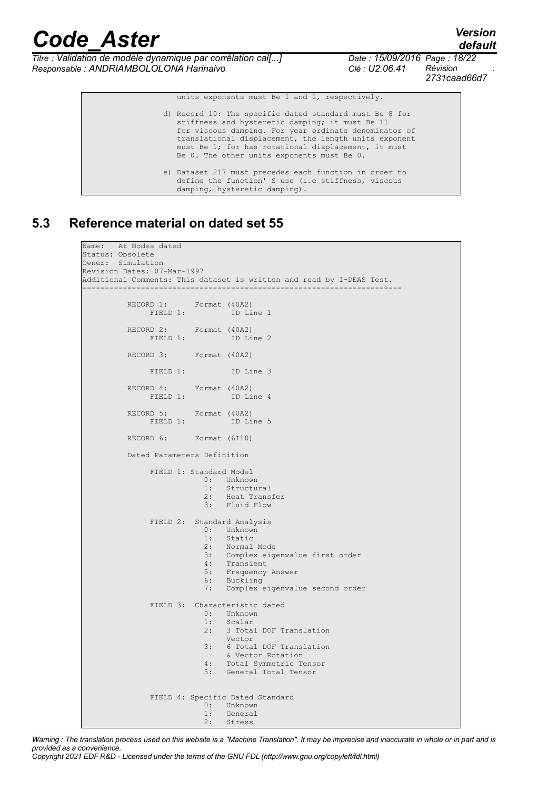*default*

*Titre : Validation de modèle dynamique par corrélation cal[...] Date : 15/09/2016 Page : 18/22 Responsable : ANDRIAMBOLOLONA Harinaivo Clé : U2.06.41 Révision :*

*2731caad66d7*

units exponents must Be 1 and 1, respectively.

 d) Record 10: The specific dated standard must Be 8 for stiffness and hysteretic damping; it must Be 11 for viscous damping. For year ordinate denominator of translational displacement, the length units exponent must Be 1; for has rotational displacement, it must Be 0. The other units exponents must Be 0. e) Dataset 217 must precedes each function in order to define the function' S use (i.e stiffness, viscous damping, hysteretic damping).

#### **5.3 Reference material on dated set 55**

```
Name: At Nodes dated 
Status: Obsolete 
Owner: Simulation 
Revision Dates: 07-Mar-1997 
Additional Comments: This dataset is written and read by I-DEAS Test. 
----------------------------------------------------------------------- 
           RECORD 1: Format (40A2)<br>FIELD 1: ID Line 1
                FIELD 1:
            RECORD 2: Format (40A2) 
                 FIELD 1: ID Line 2
            RECORD 3: Format (40A2) 
                 FIELD 1: TD Line 3
            RECORD 4: Format (40A2) 
                FIELD 1: ID Line 4
           RECORD 5: Format (40A2)<br>FIELD 1: ID Line 5
                FIELD 1:
            RECORD 6: Format (6I10) 
            Dated Parameters Definition 
                  FIELD 1: Standard Model 
                                0: Unknown 
                               1: Structural<br>2: Heat Trans
                               2: Heat Transfer<br>3: Fluid Flow
                                    Fluid Flow
                  FIELD 2: Standard Analysis 
                                0: Unknown 
                               1: Static<br>2: Normal
                                     Normal Mode
                                3: Complex eigenvalue first order 
                                     Transient
                               5: Frequency Answer<br>6: Buckling
                                     6: Buckling 
                                7: Complex eigenvalue second order 
                  FIELD 3: Characteristic dated 
                               0: Unknown<br>1: Scalar
                               1: Scalar<br>2: 3 Tota
                                      2: 3 Total DOF Translation 
                               Vector<br>3: 6 Total
                                     3: 6 Total DOF Translation 
                               & Vector Rotation<br>4: Total Symmetric T
                                4: Total Symmetric Tensor 
                                    5: General Total Tensor 
                 FIELD 4: Specific Dated Standard<br>0: Unknown
                               0: Unknown<br>1: General
                               1: General<br>2: Stress
                                     2: Stress
```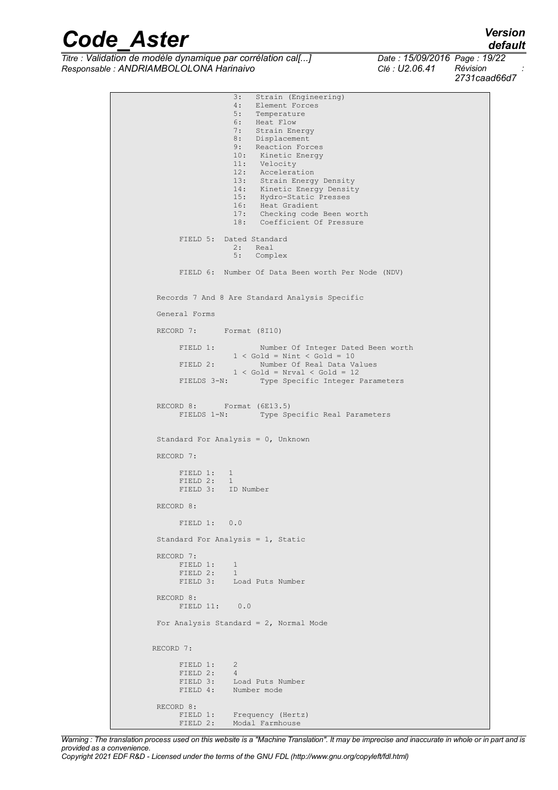*Titre : Validation de modèle dynamique par corrélation cal[...] Date : 15/09/2016 Page : 19/22 Responsable : ANDRIAMBOLOLONA Harinaivo Clé : U2.06.41 Révision :*

*2731caad66d7*

```
3: Strain (Engineering)<br>4: Element Forces
                                    Element Forces
                              5: Temperature<br>6: Heat Flow
                                   Heat Flow
                              7: Strain Energy<br>8: Displacement
                              8: Displacement<br>9: Reaction Fore
                              9: Reaction Forces<br>10: Kinetic Energy
                              10: Kinetic Energy<br>11: Velocity
                              11: Velocity<br>12: Accelera
                                    Acceleration
                              13: Strain Energy Density<br>14: Kinetic Energy Density
                                     Kinetic Energy Density
                              15: Hydro-Static Presses<br>16: Heat Gradient
                              16: Heat Gradient<br>17: Checking code
                              17: Checking code Been worth<br>18: Coefficient Of Pressure
                                    Coefficient Of Pressure
                  FIELD 5: Dated Standard 
 2: Real 
 5: Complex 
                  FIELD 6: Number Of Data Been worth Per Node (NDV) 
            Records 7 And 8 Are Standard Analysis Specific 
            General Forms 
            RECORD 7: Format (8I10) 
                  FIELD 1: Number Of Integer Dated Been worth 
                 1 < Gold = Nint < Gold = 10<br>FIELD 2: Number Of Real Data V.
                                     Number Of Real Data Values
                              1 < Gold = Nrval < Gold = 12
                  FIELDS 3-N: Type Specific Integer Parameters 
           RECORD 8: Format (6E13.5)<br>FIELDS 1-N: Type Sp
                                     Type Specific Real Parameters
            Standard For Analysis = 0, Unknown 
            RECORD 7: 
                FIELD 1: 1
FIELD 2: 1
 FIELD 3: ID Number 
            RECORD 8: 
                 FIELD 1: 0.0 
            Standard For Analysis = 1, Static 
            RECORD 7: 
                FIELD 1: 1
                FIELD 2: 1<br>FIELD 3: L
                           Load Puts Number
            RECORD 8: 
                 FIELD 11: 0.0 
           For Analysis Standard = 2, Normal Mode
           RECORD 7: 
                FIELD 1: 2 \nFFIELD 2: 4 \nFFIELD 2:<br>FIELD 3:
FIELD 3: Load Puts Number
FIELD 4: Number mode
            RECORD 8: 
                FIELD 1: Frequency (Hertz)<br>FIELD 2: Modal Farmhouse
                            Modal Farmhouse
```
*Warning : The translation process used on this website is a "Machine Translation". It may be imprecise and inaccurate in whole or in part and is provided as a convenience. Copyright 2021 EDF R&D - Licensed under the terms of the GNU FDL (http://www.gnu.org/copyleft/fdl.html)*

### *default*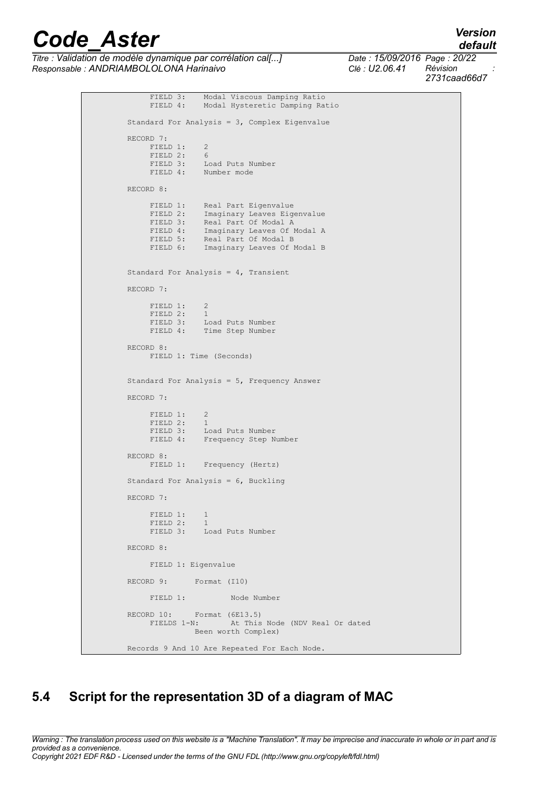*Titre : Validation de modèle dynamique par corrélation cal[...] Date : 15/09/2016 Page : 20/22 Responsable : ANDRIAMBOLOLONA Harinaivo Clé : U2.06.41 Révision :*

*2731caad66d7*

FIELD 3: Modal Viscous Damping Ratio<br>FIELD 4: Modal Hysteretic Damping Ratio Modal Hysteretic Damping Ratio Standard For Analysis = 3, Complex Eigenvalue RECORD 7: FIELD 1: 2<br>FIELD 2: 6 FIELD 2: FIELD 3: Load Puts Number FIELD 4: Number mode RECORD 8: FIELD 1: Real Part Eigenvalue FIELD 2: Imaginary Leaves Eigenvalue FIELD 3: Real Part Of Modal A<br>FIELD 4: Imaginary Leaves Of I Imaginary Leaves Of Modal A FIELD 5: Real Part Of Modal B **FIELD 6:** Imaginary Leaves Of Modal B Standard For Analysis = 4, Transient RECORD 7: FIELD 1: 2<br>FIELD 2: 1 FIELD 2: FIELD 3: Load Puts Number FIELD 4: Time Step Number RECORD 8: FIELD 1: Time (Seconds) Standard For Analysis = 5, Frequency Answer RECORD 7: FIELD 1: 2 FIELD 2: 1 FIELD 3: Load Puts Number FIELD 3. Example Number<br>FIELD 4: Frequency Step Number RECORD 8: FIELD 1: Frequency (Hertz) Standard For Analysis = 6, Buckling RECORD 7: FIELD 1: 1 **FIELD 2:** 1 FIELD 3: Load Puts Number RECORD 8: FIELD 1: Eigenvalue RECORD 9: Format (I10) FIELD 1: Node Number RECORD 10: Format (6E13.5)<br>FIELDS 1-N: At This At This Node (NDV Real Or dated Been worth Complex) Records 9 And 10 Are Repeated For Each Node.

### <span id="page-19-0"></span>**5.4 Script for the representation 3D of a diagram of MAC**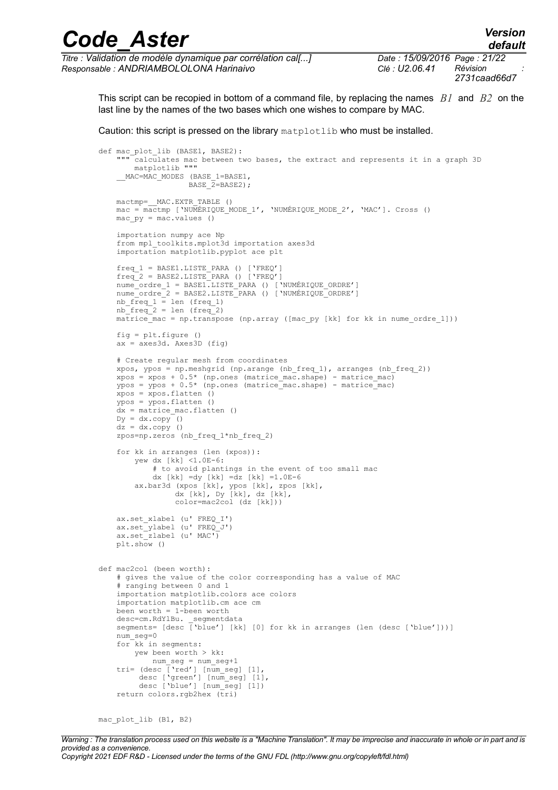| <b>Code Aster</b>                                            |                              | <b>Version</b><br>default |  |
|--------------------------------------------------------------|------------------------------|---------------------------|--|
| Titre : Validation de modèle dynamique par corrélation cal[] | Date: 15/09/2016 Page: 21/22 | Révision                  |  |
| Responsable : ANDRIAMBOLOLONA Harinaivo                      | Clé : U2.06.41               | 2731caad66d7              |  |

This script can be recopied in bottom of a command file, by replacing the names *B1* and *B2* on the last line by the names of the two bases which one wishes to compare by MAC.

Caution: this script is pressed on the library matplotlib who must be installed.

```
def mac plot lib (BASE1, BASE2):
       -<br>calculates mac between two bases, the extract and represents it in a graph 3D
        matplotlib """
     MAC=MAC MODES (BASE 1=BASE1,
                   BASE 2=BASE2);
   mactmp= MAC.EXTR TABLE ()
    mac = mactmp ['NUMÉRIQUE_MODE_1', 'NUMÉRIQUE_MODE_2', 'MAC']. Cross () 
   macpy = mac.values () importation numpy ace Np
    from mpl toolkits.mplot3d importation axes3d
     importation matplotlib.pyplot ace plt
     freq_1 = BASE1.LISTE_PARA () ['FREQ']
    freq^2 = BASE2.LISTE PARA () ['FREQ']
 nume_ordre_1 = BASE1.LISTE_PARA () ['NUMÉRIQUE_ORDRE']
 nume_ordre_2 = BASE2.LISTE_PARA () ['NUMÉRIQUE_ORDRE']
nb freq 1 = len (freq 1)nb freq 2 = len (freq 2)matrice mac = np.transpose (np.array ([mac py [kk] for kk in nume ordre 1]))
    fig = plt.figure ()
   ax = axes3d. Axes3D (fig)
     # Create regular mesh from coordinates
    xpos, ypos = np.meshgrid (np.arange (nb freq 1), arranges (nb freq 2))
    xpos = xpos + 0.5* (np.ones (matrice mac.shape) - matrice mac)
     ypos = ypos + 0.5* (np.ones (matrice_mac.shape) - matrice_mac)
    xpos = xpos.flatten ()
     ypos = ypos.flatten ()
    dx = matrice mac.flatten ()
    Dy = dx.copy ()
   dz = dx.copy ()
    zpos=np.zeros (nb_freq_1*nb_freq_2)
     for kk in arranges (len (xpos)):
         yew dx [kk] <1.0E-6:
             # to avoid plantings in the event of too small mac
            dx [kk] = dy [kk] = dz [kk] = 1.0E-6 ax.bar3d (xpos [kk], ypos [kk], zpos [kk],
 dx [kk], Dy [kk], dz [kk],
                 color=mac2col (dz [kk]))
   ax.set xlabel (u' FREQ I')
    ax.set_ylabel (u' FREQ_J')
   ax.set [zlabel (u' MAC')
    plt.show ()
def mac2col (been worth):
     # gives the value of the color corresponding has a value of MAC
     # ranging between 0 and 1
     importation matplotlib.colors ace colors
     importation matplotlib.cm ace cm
    been worth = 1-been worth
   desc=cm.RdYlBu. segmentdata
    segments= [desc ['blue'] [kk] [0] for kk in arranges (len (desc ['blue']))]
    num_seg=0
    for kk in segments:
        yew been worth > kk:
            num_seg = num_seg+1
 tri= (desc ['red'] [num_seg] [1],
 desc ['green'] [num_seg] [1],
        desc ['blue'] [num_seg] [1])
    return colors.rgb2hex (\bar{t}r\bar{i})
```
mac plot lib (B1, B2)